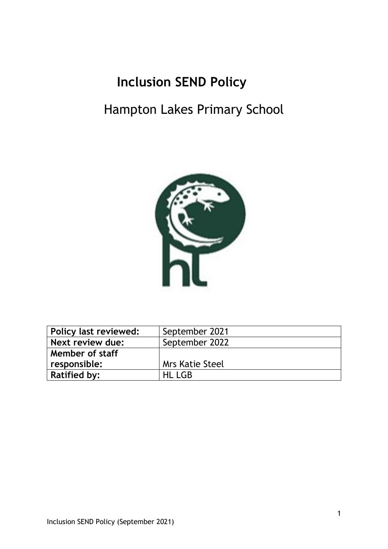# **Inclusion SEND Policy**

# Hampton Lakes Primary School



| Policy last reviewed: | September 2021         |
|-----------------------|------------------------|
| Next review due:      | September 2022         |
| Member of staff       |                        |
| responsible:          | <b>Mrs Katie Steel</b> |
| <b>Ratified by:</b>   | <b>HL LGB</b>          |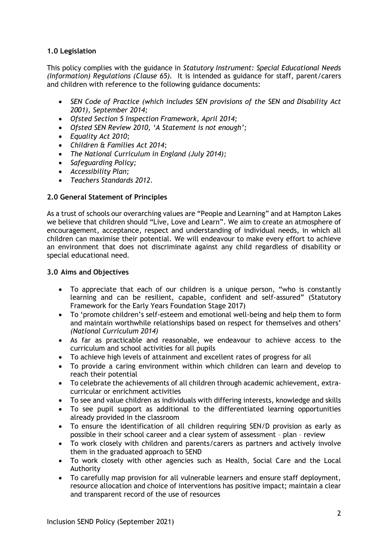## **1.0 Legislation**

This policy complies with the guidance in *Statutory Instrument: Special Educational Needs (Information) Regulations (Clause 65).* It is intended as guidance for staff, parent/carers and children with reference to the following guidance documents:

- *SEN Code of Practice (which includes SEN provisions of the SEN and Disability Act 2001), September 2014;*
- *Ofsted Section 5 Inspection Framework, April 2014;*
- *Ofsted SEN Review 2010, 'A Statement is not enough';*
- *Equality Act 2010;*
- *Children & Families Act 2014;*
- *The National Curriculum in England (July 2014);*
- *Safeguarding Policy;*
- *Accessibility Plan;*
- *Teachers Standards 2012.*

# **2.0 General Statement of Principles**

As a trust of schools our overarching values are "People and Learning" and at Hampton Lakes we believe that children should "Live, Love and Learn". We aim to create an atmosphere of encouragement, acceptance, respect and understanding of individual needs, in which all children can maximise their potential. We will endeavour to make every effort to achieve an environment that does not discriminate against any child regardless of disability or special educational need.

## **3.0 Aims and Objectives**

- To appreciate that each of our children is a unique person, "who is constantly learning and can be resilient, capable, confident and self-assured" (Statutory Framework for the Early Years Foundation Stage 2017)
- To 'promote children's self-esteem and emotional well-being and help them to form and maintain worthwhile relationships based on respect for themselves and others' *(National Curriculum 2014)*
- As far as practicable and reasonable, we endeavour to achieve access to the curriculum and school activities for all pupils
- To achieve high levels of attainment and excellent rates of progress for all
- To provide a caring environment within which children can learn and develop to reach their potential
- To celebrate the achievements of all children through academic achievement, extracurricular or enrichment activities
- To see and value children as individuals with differing interests, knowledge and skills
- To see pupil support as additional to the differentiated learning opportunities already provided in the classroom
- To ensure the identification of all children requiring SEN/D provision as early as possible in their school career and a clear system of assessment – plan – review
- To work closely with children and parents/carers as partners and actively involve them in the graduated approach to SEND
- To work closely with other agencies such as Health, Social Care and the Local Authority
- To carefully map provision for all vulnerable learners and ensure staff deployment, resource allocation and choice of interventions has positive impact; maintain a clear and transparent record of the use of resources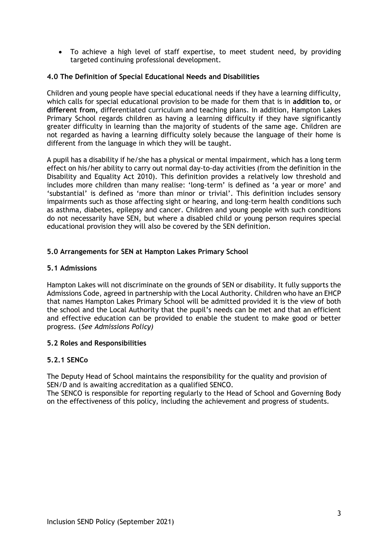• To achieve a high level of staff expertise, to meet student need, by providing targeted continuing professional development.

## **4.0 The Definition of Special Educational Needs and Disabilities**

Children and young people have special educational needs if they have a learning difficulty, which calls for special educational provision to be made for them that is in **addition to**, or **different from,** differentiated curriculum and teaching plans. In addition, Hampton Lakes Primary School regards children as having a learning difficulty if they have significantly greater difficulty in learning than the majority of students of the same age. Children are not regarded as having a learning difficulty solely because the language of their home is different from the language in which they will be taught.

A pupil has a disability if he/she has a physical or mental impairment, which has a long term effect on his/her ability to carry out normal day-to-day activities (from the definition in the Disability and Equality Act 2010). This definition provides a relatively low threshold and includes more children than many realise: 'long-term' is defined as 'a year or more' and 'substantial' is defined as 'more than minor or trivial'. This definition includes sensory impairments such as those affecting sight or hearing, and long-term health conditions such as asthma, diabetes, epilepsy and cancer. Children and young people with such conditions do not necessarily have SEN, but where a disabled child or young person requires special educational provision they will also be covered by the SEN definition.

## **5.0 Arrangements for SEN at Hampton Lakes Primary School**

## **5.1 Admissions**

Hampton Lakes will not discriminate on the grounds of SEN or disability. It fully supports the Admissions Code, agreed in partnership with the Local Authority. Children who have an EHCP that names Hampton Lakes Primary School will be admitted provided it is the view of both the school and the Local Authority that the pupil's needs can be met and that an efficient and effective education can be provided to enable the student to make good or better progress. (*See Admissions Policy)*

## **5.2 Roles and Responsibilities**

## **5.2.1 SENCo**

The Deputy Head of School maintains the responsibility for the quality and provision of SEN/D and is awaiting accreditation as a qualified SENCO.

The SENCO is responsible for reporting regularly to the Head of School and Governing Body on the effectiveness of this policy, including the achievement and progress of students.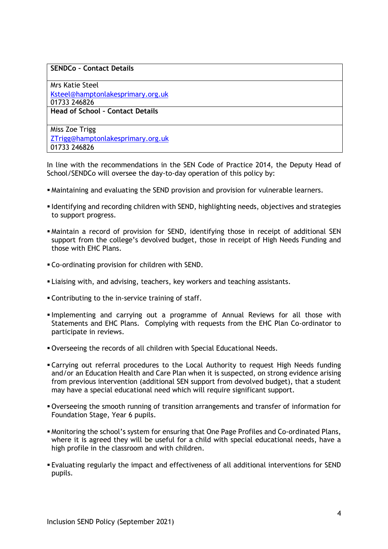#### **SENDCo – Contact Details**

Mrs Katie Steel [Ksteel@hamptonlakesprimary.org.uk](mailto:Ksteel@hamptonlakesprimary.org.uk) 01733 246826 **Head of School – Contact Details**

Miss Zoe Trigg [ZTrigg@hamptonlakesprimary.org.uk](mailto:ZTrigg@hamptonlakesprimary.org.uk) 01733 246826

In line with the recommendations in the SEN Code of Practice 2014, the Deputy Head of School/SENDCo will oversee the day-to-day operation of this policy by:

- Maintaining and evaluating the SEND provision and provision for vulnerable learners.
- Identifying and recording children with SEND, highlighting needs, objectives and strategies to support progress.
- Maintain a record of provision for SEND, identifying those in receipt of additional SEN support from the college's devolved budget, those in receipt of High Needs Funding and those with EHC Plans.
- Co-ordinating provision for children with SEND.
- **ELIA** Liaising with, and advising, teachers, key workers and teaching assistants.
- **Contributing to the in-service training of staff.**
- Implementing and carrying out a programme of Annual Reviews for all those with Statements and EHC Plans. Complying with requests from the EHC Plan Co-ordinator to participate in reviews.
- Overseeing the records of all children with Special Educational Needs.
- **Example 20 Ferral controllery in the Cocal Authority to request High Needs funding** and/or an Education Health and Care Plan when it is suspected, on strong evidence arising from previous intervention (additional SEN support from devolved budget), that a student may have a special educational need which will require significant support.
- Overseeing the smooth running of transition arrangements and transfer of information for Foundation Stage, Year 6 pupils.
- Monitoring the school's system for ensuring that One Page Profiles and Co-ordinated Plans, where it is agreed they will be useful for a child with special educational needs, have a high profile in the classroom and with children.
- Evaluating regularly the impact and effectiveness of all additional interventions for SEND pupils.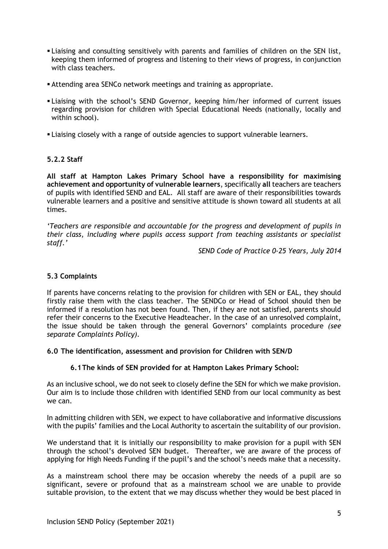- **Example 2** Liaising and consulting sensitively with parents and families of children on the SEN list, keeping them informed of progress and listening to their views of progress, in conjunction with class teachers.
- **EXECO Attending area SENCo network meetings and training as appropriate.**
- **.** Liaising with the school's SEND Governor, keeping him/her informed of current issues regarding provision for children with Special Educational Needs (nationally, locally and within school).
- **Example 2** Liaising closely with a range of outside agencies to support vulnerable learners.

## **5.2.2 Staff**

**All staff at Hampton Lakes Primary School have a responsibility for maximising achievement and opportunity of vulnerable learners**, specifically **all** teachers are teachers of pupils with identified SEND and EAL. All staff are aware of their responsibilities towards vulnerable learners and a positive and sensitive attitude is shown toward all students at all times.

*'Teachers are responsible and accountable for the progress and development of pupils in their class, including where pupils access support from teaching assistants or specialist staff.'*

*SEND Code of Practice 0-25 Years, July 2014*

# **5.3 Complaints**

If parents have concerns relating to the provision for children with SEN or EAL, they should firstly raise them with the class teacher. The SENDCo or Head of School should then be informed if a resolution has not been found. Then, if they are not satisfied, parents should refer their concerns to the Executive Headteacher. In the case of an unresolved complaint, the issue should be taken through the general Governors' complaints procedure *(see separate Complaints Policy).*

## **6.0 The identification, assessment and provision for Children with SEN/D**

# **6.1The kinds of SEN provided for at Hampton Lakes Primary School:**

As an inclusive school, we do not seek to closely define the SEN for which we make provision. Our aim is to include those children with identified SEND from our local community as best we can.

In admitting children with SEN, we expect to have collaborative and informative discussions with the pupils' families and the Local Authority to ascertain the suitability of our provision.

We understand that it is initially our responsibility to make provision for a pupil with SEN through the school's devolved SEN budget. Thereafter, we are aware of the process of applying for High Needs Funding if the pupil's and the school's needs make that a necessity.

As a mainstream school there may be occasion whereby the needs of a pupil are so significant, severe or profound that as a mainstream school we are unable to provide suitable provision, to the extent that we may discuss whether they would be best placed in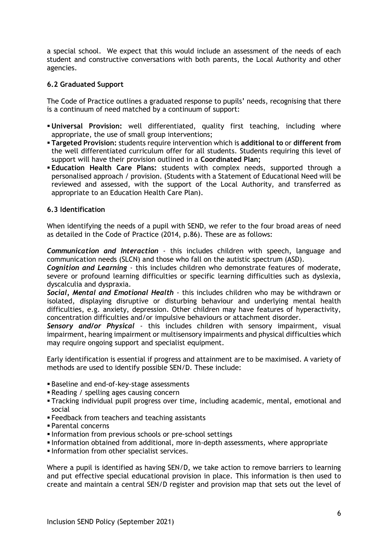a special school. We expect that this would include an assessment of the needs of each student and constructive conversations with both parents, the Local Authority and other agencies.

## **6.2 Graduated Support**

The Code of Practice outlines a graduated response to pupils' needs, recognising that there is a continuum of need matched by a continuum of support:

- **Universal Provision:** well differentiated, quality first teaching, including where appropriate, the use of small group interventions;
- **Targeted Provision:** students require intervention which is **additional to** or **different from**  the well differentiated curriculum offer for all students. Students requiring this level of support will have their provision outlined in a **Coordinated Plan;**
- **Education Health Care Plans:** students with complex needs, supported through a personalised approach / provision. (Students with a Statement of Educational Need will be reviewed and assessed, with the support of the Local Authority, and transferred as appropriate to an Education Health Care Plan).

## **6.3 Identification**

When identifying the needs of a pupil with SEND, we refer to the four broad areas of need as detailed in the Code of Practice (2014, p.86). These are as follows:

*Communication and Interaction* - this includes children with speech, language and communication needs (SLCN) and those who fall on the autistic spectrum (ASD).

*Cognition and Learning* - this includes children who demonstrate features of moderate, severe or profound learning difficulties or specific learning difficulties such as dyslexia, dyscalculia and dyspraxia.

*Social, Mental and Emotional Health* - this includes children who may be withdrawn or isolated, displaying disruptive or disturbing behaviour and underlying mental health difficulties, e.g. anxiety, depression. Other children may have features of hyperactivity, concentration difficulties and/or impulsive behaviours or attachment disorder.

*Sensory and/or Physical* - this includes children with sensory impairment, visual impairment, hearing impairment or multisensory impairments and physical difficulties which may require ongoing support and specialist equipment.

Early identification is essential if progress and attainment are to be maximised. A variety of methods are used to identify possible SEN/D. These include:

- Baseline and end-of-key-stage assessments
- Reading / spelling ages causing concern
- Tracking individual pupil progress over time, including academic, mental, emotional and social
- **E** Feedback from teachers and teaching assistants
- Parental concerns
- Information from previous schools or pre-school settings
- Information obtained from additional, more in-depth assessments, where appropriate
- Information from other specialist services.

Where a pupil is identified as having SEN/D, we take action to remove barriers to learning and put effective special educational provision in place. This information is then used to create and maintain a central SEN/D register and provision map that sets out the level of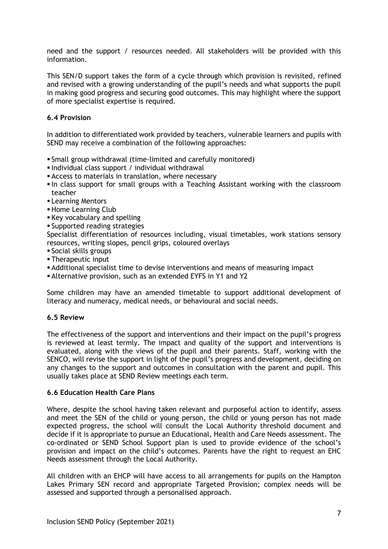need and the support / resources needed. All stakeholders will be provided with this information.

This SEN/D support takes the form of a cycle through which provision is revisited, refined and revised with a growing understanding of the pupil's needs and what supports the pupil in making good progress and securing good outcomes. This may highlight where the support of more specialist expertise is required.

#### **6.4 Provision**

In addition to differentiated work provided by teachers, vulnerable learners and pupils with SEND may receive a combination of the following approaches:

- Small group withdrawal (time-limited and carefully monitored)
- Individual class support / individual withdrawal
- **EXEC** Access to materials in translation, where necessary
- In class support for small groups with a Teaching Assistant working with the classroom teacher
- **E** Learning Mentors
- **E** Home Learning Club
- Key vocabulary and spelling
- Supported reading strategies

Specialist differentiation of resources including, visual timetables, work stations sensory resources, writing slopes, pencil grips, coloured overlays

- Social skills groups
- Therapeutic input
- Additional specialist time to devise interventions and means of measuring impact
- Alternative provision, such as an extended EYFS in Y1 and Y2

Some children may have an amended timetable to support additional development of literacy and numeracy, medical needs, or behavioural and social needs.

#### **6.5 Review**

The effectiveness of the support and interventions and their impact on the pupil's progress is reviewed at least termly. The impact and quality of the support and interventions is evaluated, along with the views of the pupil and their parents. Staff, working with the SENCO, will revise the support in light of the pupil's progress and development, deciding on any changes to the support and outcomes in consultation with the parent and pupil. This usually takes place at SEND Review meetings each term.

## **6.6 Education Health Care Plans**

Where, despite the school having taken relevant and purposeful action to identify, assess and meet the SEN of the child or young person, the child or young person has not made expected progress, the school will consult the Local Authority threshold document and decide if it is appropriate to pursue an Educational, Health and Care Needs assessment. The co-ordinated or SEND School Support plan is used to provide evidence of the school's provision and impact on the child's outcomes. Parents have the right to request an EHC Needs assessment through the Local Authority.

All children with an EHCP will have access to all arrangements for pupils on the Hampton Lakes Primary SEN record and appropriate Targeted Provision; complex needs will be assessed and supported through a personalised approach.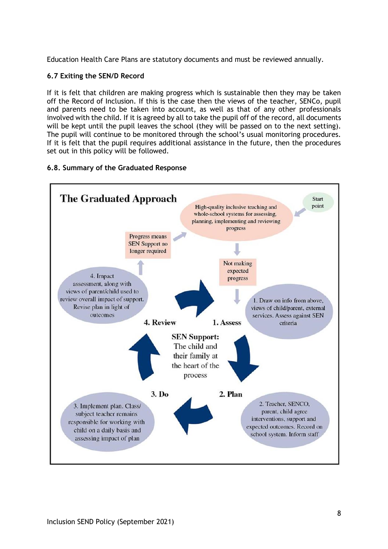Education Health Care Plans are statutory documents and must be reviewed annually.

## **6.7 Exiting the SEN/D Record**

If it is felt that children are making progress which is sustainable then they may be taken off the Record of Inclusion. If this is the case then the views of the teacher, SENCo, pupil and parents need to be taken into account, as well as that of any other professionals involved with the child. If it is agreed by all to take the pupil off of the record, all documents will be kept until the pupil leaves the school (they will be passed on to the next setting). The pupil will continue to be monitored through the school's usual monitoring procedures. If it is felt that the pupil requires additional assistance in the future, then the procedures set out in this policy will be followed.

## **6.8. Summary of the Graduated Response**

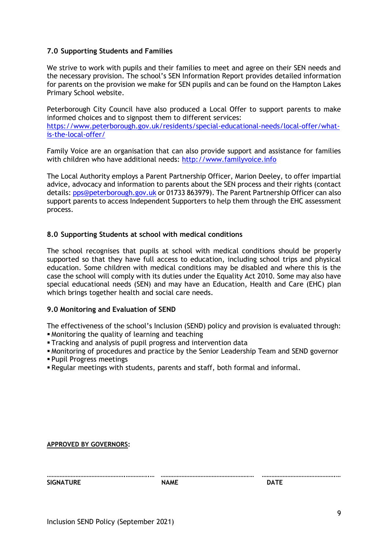## **7.0 Supporting Students and Families**

We strive to work with pupils and their families to meet and agree on their SEN needs and the necessary provision. The school's SEN Information Report provides detailed information for parents on the provision we make for SEN pupils and can be found on the Hampton Lakes Primary School website.

Peterborough City Council have also produced a Local Offer to support parents to make informed choices and to signpost them to different services: [https://www.peterborough.gov.uk/residents/special-educational-needs/local-offer/what](https://www.peterborough.gov.uk/residents/special-educational-needs/local-offer/what-is-the-local-offer/)[is-the-local-offer/](https://www.peterborough.gov.uk/residents/special-educational-needs/local-offer/what-is-the-local-offer/)

Family Voice are an organisation that can also provide support and assistance for families with children who have additional needs: [http://www.familyvoice.info](http://www.familyvoice.info/)

The Local Authority employs a Parent Partnership Officer, Marion Deeley, to offer impartial advice, advocacy and information to parents about the SEN process and their rights (contact details[: pps@peterborough.gov.uk](mailto:pps@peterborough.gov.uk) or 01733 863979). The Parent Partnership Officer can also support parents to access Independent Supporters to help them through the EHC assessment process.

#### **8.0 Supporting Students at school with medical conditions**

The school recognises that pupils at school with medical conditions should be properly supported so that they have full access to education, including school trips and physical education. Some children with medical conditions may be disabled and where this is the case the school will comply with its duties under the Equality Act 2010. Some may also have special educational needs (SEN) and may have an Education, Health and Care (EHC) plan which brings together health and social care needs.

#### **9.0 Monitoring and Evaluation of SEND**

The effectiveness of the school's Inclusion (SEND) policy and provision is evaluated through:

- **Monitoring the quality of learning and teaching**
- **Tracking and analysis of pupil progress and intervention data**
- Monitoring of procedures and practice by the Senior Leadership Team and SEND governor
- Pupil Progress meetings
- Regular meetings with students, parents and staff, both formal and informal.

**APPROVED BY GOVERNORS:**

| <b>SIGNATURE</b> | <b>NAME</b> | ה∆רּ |
|------------------|-------------|------|